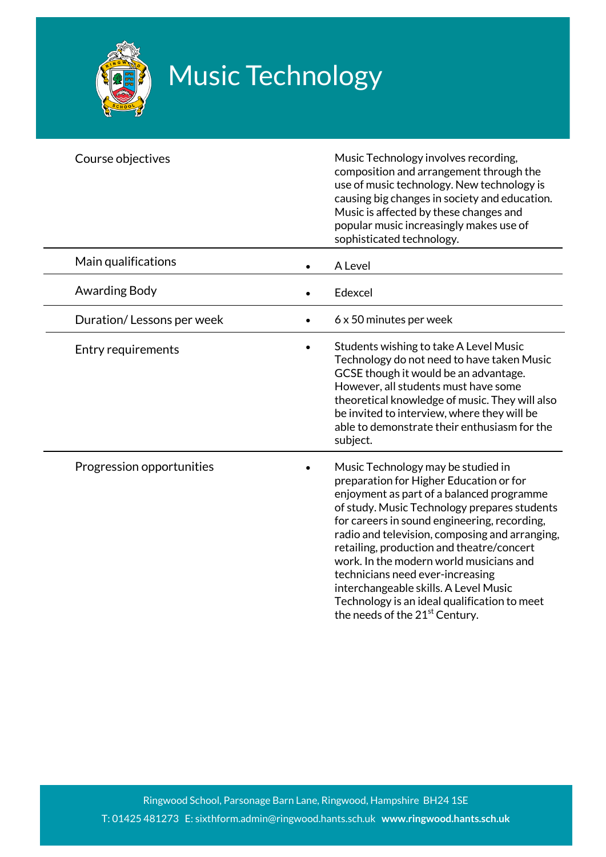

## Music Technology

| Course objectives         | Music Technology involves recording,<br>composition and arrangement through the<br>use of music technology. New technology is<br>causing big changes in society and education.<br>Music is affected by these changes and<br>popular music increasingly makes use of<br>sophisticated technology.                                                                                                                                                                                                                                                |
|---------------------------|-------------------------------------------------------------------------------------------------------------------------------------------------------------------------------------------------------------------------------------------------------------------------------------------------------------------------------------------------------------------------------------------------------------------------------------------------------------------------------------------------------------------------------------------------|
| Main qualifications       | A Level                                                                                                                                                                                                                                                                                                                                                                                                                                                                                                                                         |
| Awarding Body             | Edexcel                                                                                                                                                                                                                                                                                                                                                                                                                                                                                                                                         |
| Duration/Lessons per week | 6 x 50 minutes per week                                                                                                                                                                                                                                                                                                                                                                                                                                                                                                                         |
| Entry requirements        | Students wishing to take A Level Music<br>Technology do not need to have taken Music<br>GCSE though it would be an advantage.<br>However, all students must have some<br>theoretical knowledge of music. They will also<br>be invited to interview, where they will be<br>able to demonstrate their enthusiasm for the<br>subject.                                                                                                                                                                                                              |
| Progression opportunities | Music Technology may be studied in<br>preparation for Higher Education or for<br>enjoyment as part of a balanced programme<br>of study. Music Technology prepares students<br>for careers in sound engineering, recording,<br>radio and television, composing and arranging,<br>retailing, production and theatre/concert<br>work. In the modern world musicians and<br>technicians need ever-increasing<br>interchangeable skills. A Level Music<br>Technology is an ideal qualification to meet<br>the needs of the 21 <sup>st</sup> Century. |